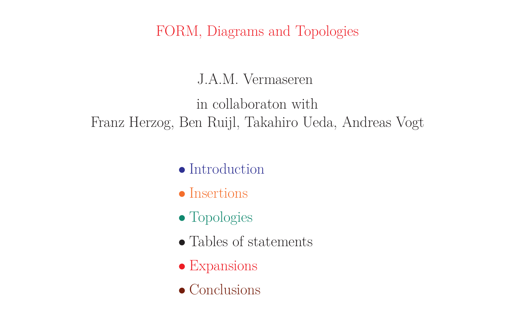FORM, Diagrams and Topologies

J.A.M. Vermaseren

in collaboraton with Franz Herzog, Ben Ruijl, Takahiro Ueda, Andreas Vogt

- Introduction
- Insertions
- Topologies
- Tables of statements
- Expansions
- Conclusions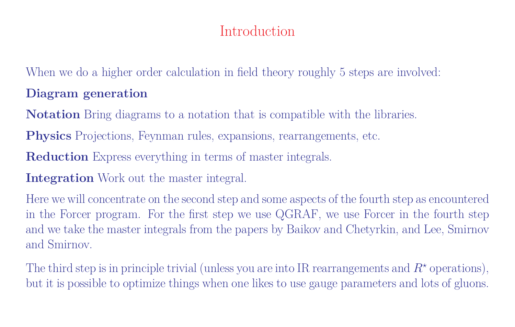## Introduction

When we do a higher order calculation in field theory roughly 5 steps are involved: **Diagram generation**

**Notation** Bring diagrams to a notation that is compatible with the libraries.

**Physics** Projections, Feynman rules, expansions, rearrangements, etc.

**Reduction** Express everything in terms of master integrals.

**Integration** Work out the master integral.

Here we will concentrate on the second step and some aspects of the fourth step as encountered in the Forcer program. For the first step we use QGRAF, we use Forcer in the fourth step and we take the master integrals from the papers by Baikov and Chetyrkin, and Lee, Smirnov and Smirnov.

The third step is in principle trivial (unless you are into IR rearrangements and  $R^*$  operations), but it is possible to optimize things when one likes to use gauge parameters and lots of gluons.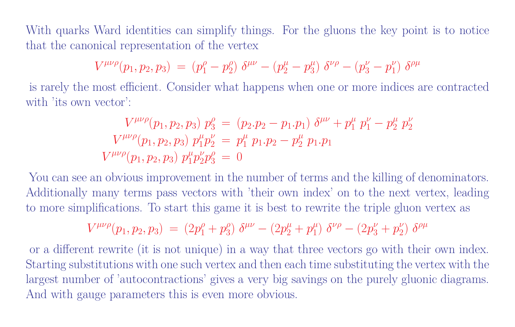With quarks Ward identities can simplify things. For the gluons the key point is to notice that the canonical representation of the vertex

$$
V^{\mu\nu\rho}(p_1,p_2,p_3) \;=\; (p_1^\rho-p_2^\rho)\; \delta^{\mu\nu} - (p_2^\mu-p_3^\mu)\; \delta^{\nu\rho} - (p_3^\nu-p_1^\nu)\; \delta^{\rho\mu}
$$

is rarely the most efficient. Consider what happens when one or more indices are contracted with 'its own vector':

$$
V^{\mu\nu\rho}(p_1, p_2, p_3) p_3^{\rho} = (p_2 \cdot p_2 - p_1 \cdot p_1) \delta^{\mu\nu} + p_1^{\mu} p_1^{\nu} - p_2^{\mu} p_2^{\nu}
$$
  

$$
V^{\mu\nu\rho}(p_1, p_2, p_3) p_1^{\mu} p_2^{\nu} = p_1^{\mu} p_1 \cdot p_2 - p_2^{\mu} p_1 \cdot p_1
$$
  

$$
V^{\mu\nu\rho}(p_1, p_2, p_3) p_1^{\mu} p_2^{\nu} p_3^{\rho} = 0
$$

You can see an obvious improvement in the number of terms and the killing of denominators. Additionally many terms pass vectors with 'their own index' on to the next vertex, leading to more simplifications. To start this game it is best to rewrite the triple gluon vertex as

$$
V^{\mu\nu\rho}(p_1,p_2,p_3) \;=\; (2p_1^{\rho} + p_3^{\rho})\,\, \delta^{\mu\nu} - (2p_2^{\mu} + p_1^{\mu})\,\, \delta^{\nu\rho} - (2p_3^{\nu} + p_2^{\nu})\,\, \delta^{\rho\mu}
$$

or a different rewrite (it is not unique) in a way that three vectors go with their own index. Starting substitutions with one such vertex and then each time substituting the vertex with the largest number of 'autocontractions' gives a very big savings on the purely gluonic diagrams. And with gauge parameters this is even more obvious.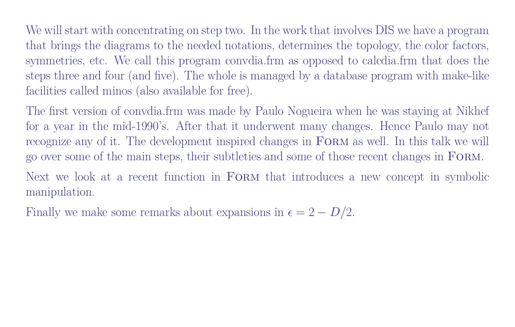We will start with concentrating on step two. In the work that involves DIS we have a program that brings the diagrams to the needed notations, determines the topology, the color factors, symmetries, etc. We call this program convdia.frm as opposed to calcdia.frm that does the steps three and four (and five). The whole is managed by a database program with make-like facilities called minos (also available for free).

The first version of convdia.frm was made by Paulo Nogueira when he was staying at Nikhef for a year in the mid-1990's. After that it underwent many changes. Hence Paulo may not recognize any of it. The development inspired changes in FORM as well. In this talk we will go over some of the main steps, their subtleties and some of those recent changes in Form.

Next we look at a recent function in FORM that introduces a new concept in symbolic manipulation.

Finally we make some remarks about expansions in  $\epsilon = 2 - D/2$ .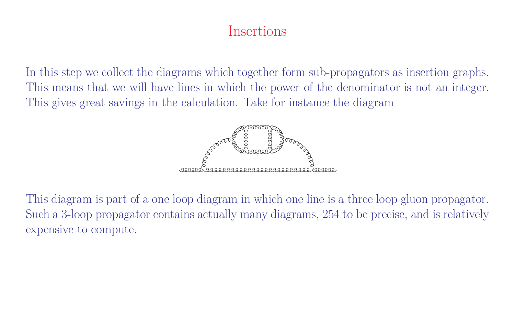### Insertions

In this step we collect the diagrams which together form sub-propagators as insertion graphs. This means that we will have lines in which the power of the denominator is not an integer. This gives great savings in the calculation. Take for instance the diagram



This diagram is part of a one loop diagram in which one line is a three loop gluon propagator. Such a 3-loop propagator contains actually many diagrams, 254 to be precise, and is relatively expensive to compute.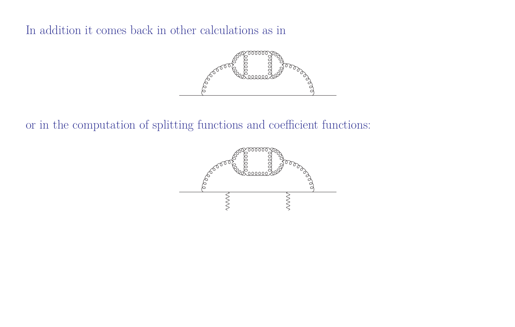In addition it comes back in other calculations as in



or in the computation of splitting functions and coefficient functions:

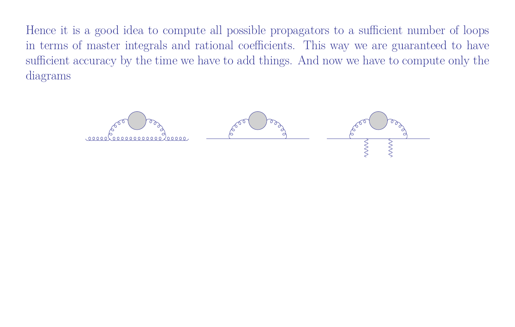Hence it is a good idea to compute all possible propagators to a sufficient number of loops in terms of master integrals and rational coefficients. This way we are guaranteed to have sufficient accuracy by the time we have to add things. And now we have to compute only the diagrams

 $0.0000000200000$ 

bec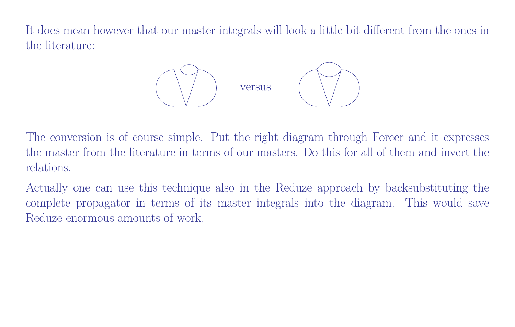It does mean however that our master integrals will look a little bit different from the ones in the literature:



The conversion is of course simple. Put the right diagram through Forcer and it expresses the master from the literature in terms of our masters. Do this for all of them and invert the relations.

Actually one can use this technique also in the Reduze approach by backsubstituting the complete propagator in terms of its master integrals into the diagram. This would save Reduze enormous amounts of work.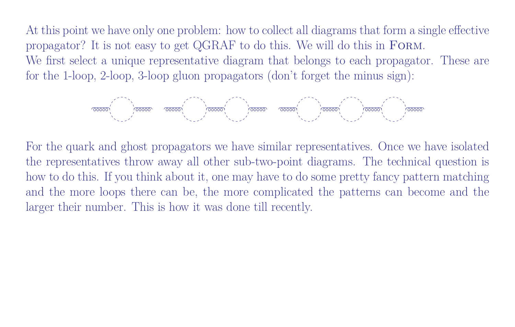At this point we have only one problem: how to collect all diagrams that form a single effective propagator? It is not easy to get QGRAF to do this. We will do this in Form. We first select a unique representative diagram that belongs to each propagator. These are for the 1-loop, 2-loop, 3-loop gluon propagators (don't forget the minus sign):



For the quark and ghost propagators we have similar representatives. Once we have isolated the representatives throw away all other sub-two-point diagrams. The technical question is how to do this. If you think about it, one may have to do some pretty fancy pattern matching and the more loops there can be, the more complicated the patterns can become and the larger their number. This is how it was done till recently.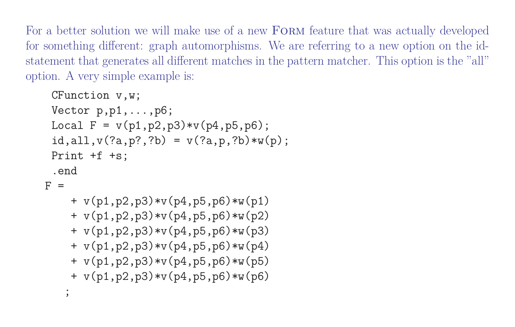For a better solution we will make use of a new FORM feature that was actually developed for something different: graph automorphisms. We are referring to a new option on the idstatement that generates all different matches in the pattern matcher. This option is the "all" option. A very simple example is:

```
CFunction v,w;
 Vector p,p1,...,p6;
 Local F = v(p1, p2, p3) * v(p4, p5, p6);
 id,all,v(?a,p?,?b) = v(?a, p, ?b) *w(p);
 Print +f +s;
 .end
F =+ v(p1, p2, p3) * v(p4, p5, p6) * w(p1)+ v(p1,p2,p3)*v(p4,p5,p6)*w(p2)
    + v(p1, p2, p3) * v(p4, p5, p6) * w(p3)+ v(p1, p2, p3) * v(p4, p5, p6) * w(p4)+ v(p1,p2,p3)*v(p4,p5,p6)*w(p5)
    + v(p1,p2,p3)*v(p4,p5,p6)*w(p6)
   \overline{ }
```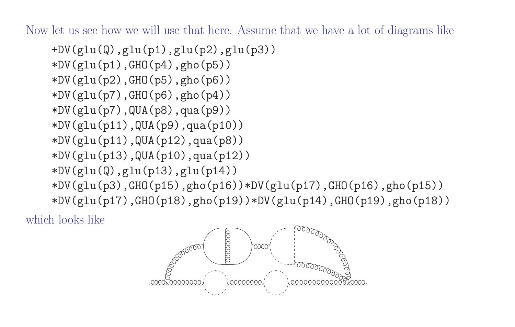Now let us see how we will use that here. Assume that we have a lot of diagrams like

 $+DV(glu(Q),glu(p1),glu(p2),glu(p3))$  $*DV(glu(p1),GHO(p4),gho(p5))$  $*DV(glu(p2),GHO(p5),gho(p6))$ \*DV(glu(p7),GHO(p6),gho(p4)) \*DV(glu(p7),QUA(p8),qua(p9)) \*DV(glu(p11),QUA(p9),qua(p10)) \*DV(glu(p11),QUA(p12),qua(p8)) \*DV(glu(p13),QUA(p10),qua(p12))  $*DV(glu(Q),glu(p13),glu(p14))$  $*DV(glu(p3),GHO(p15),gho(p16))*DV(glu(p17),GHO(p16),gho(p15))$  $*DV(glu(p17),GHO(p18),gho(p19))*DV(glu(p14),GHO(p19),gho(p18))$ 

which looks like

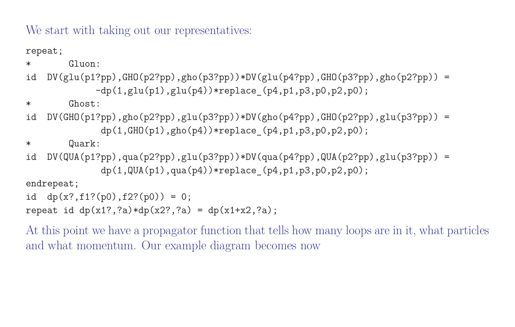We start with taking out our representatives:

repeat;

 $*$  Gluon:

```
id DV(glu(p1?pp), GHO(p2?pp),gho(p3?pp))*DV(glu(p4?pp),GHO(p3?pp),gho(p2?pp)) =
            -dp(1,glu(p1),glu(p4))*replace(p4,p1,p3,p0,p2,p0);
```
\* Ghost:

id  $DV(GHO(p1?pp),gho(p2?pp),glu(p3?pp))*DV(gho(p4?pp),GHO(p2?pp),glu(p3?pp)) =$  $dp(1,GHO(p1),gho(p4))*replace(p4,p1,p3,p0,p2,p0);$ 

\* Quark:

id DV(QUA(p1?pp),qua(p2?pp),glu(p3?pp))\*DV(qua(p4?pp),QUA(p2?pp),glu(p3?pp)) =  $dp(1, QUA(p1), qua(p4))*replace_{p4,p1,p3,p0,p2,p0);$ 

endrepeat;

id  $dp(x?, f1?(p0), f2?(p0)) = 0;$ repeat id  $dp(x1?, ?a)*dp(x2?, ?a) = dp(x1+x2, ?a);$ 

At this point we have a propagator function that tells how many loops are in it, what particles and what momentum. Our example diagram becomes now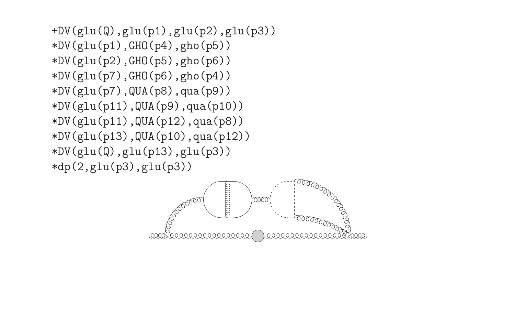+DV(glu(Q),glu(p1),glu(p2),glu(p3))  $*DV(glu(p1),GHO(p4),gho(p5))$ \*DV(glu(p2),GHO(p5),gho(p6)) \*DV(glu(p7),GHO(p6),gho(p4))  $*DV(glu(p7),QUA(p8),qua(p9))$ \*DV(glu(p11),QUA(p9),qua(p10)) \*DV(glu(p11),QUA(p12),qua(p8)) \*DV(glu(p13),QUA(p10),qua(p12))  $*DV(glu(Q),glu(p13),glu(p3))$ \*dp(2,glu(p3),glu(p3))

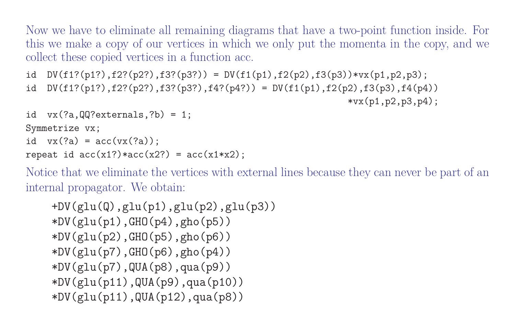Now we have to eliminate all remaining diagrams that have a two-point function inside. For this we make a copy of our vertices in which we only put the momenta in the copy, and we collect these copied vertices in a function acc.

```
id DV(f1?(p1?),f2?(p2?),f3?(p3?)) = DV(f1(p1),f2(p2),f3(p3))*vx(p1,p2,p3);
id DV(f1?(p1?),f2?(p2?),f3?(p3?),f4?(p4?)) = DV(f1(p1),f2(p2),f3(p3),f4(p4))*vx(p1,p2,p3,p4):
```

```
id vx(?a, QQ?externals, ?b) = 1;Symmetrize vx;
id vx(?a) = acc(vx(?a));
repeat id acc(x1?) * acc(x2?) = acc(x1*x2);
```
Notice that we eliminate the vertices with external lines because they can never be part of an internal propagator. We obtain:

```
+DV(glu(Q),glu(p1),glu(p2),glu(p3))
*DV(glu(p1),GHO(p4),gho(p5))*DV(glu(p2),GHO(p5),gho(p6))
*DV(glu(p7),GHO(p6),gho(p4))*DV(glu(p7),QUA(p8),qua(p9))*DV(glu(p11),QUA(p9),qua(p10))
*DV(glu(p11),QUA(p12),qua(p8))
```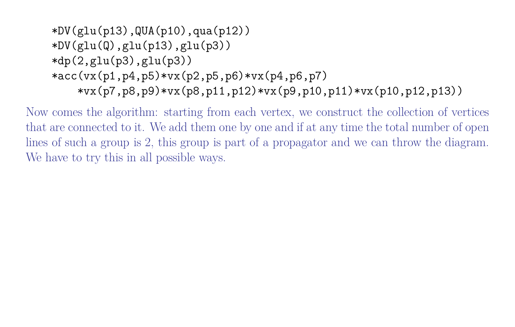```
*DV(glu(p13),QUA(p10),qua(p12))
*DV(glu(Q),glu(p13),glu(p3))*dp(2,glu(p3),glu(p3))*acc(vx(p1,p4,p5)*vx(p2,p5,p6)*vx(p4,p6,p7)*vx(p7,p8,p9)*vx(p8,p11,p12)*vx(p9,p10,p11)*vx(p10,p12,p13))
```
Now comes the algorithm: starting from each vertex, we construct the collection of vertices that are connected to it. We add them one by one and if at any time the total number of open lines of such a group is 2, this group is part of a propagator and we can throw the diagram. We have to try this in all possible ways.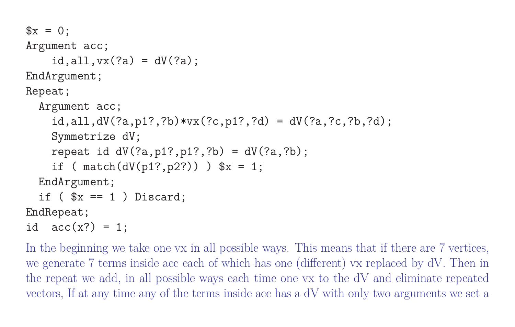```
x = 0;
Argument acc;
    id,all,vx(?a) = dV(?a);
EndArgument;
Repeat;
  Argument acc;
    id, all, dV(?a, p1?, ?b) * vx(?c, p1?, ?d) = dV(?a, ?c, ?b, ?d);Symmetrize dV;
    repeat id dV(?a, p1?, p1?, ?b) = dV(?a, ?b);
    if ( match(dV(p1?, p2?)) ) x = 1;
  EndArgument;
  if (*x == 1) Discard;
EndRepeat;
```
id  $acc(x?) = 1$ ;

In the beginning we take one vx in all possible ways. This means that if there are 7 vertices, we generate 7 terms inside acc each of which has one (different) vx replaced by dV. Then in the repeat we add, in all possible ways each time one vx to the dV and eliminate repeated vectors, If at any time any of the terms inside acc has a dV with only two arguments we set a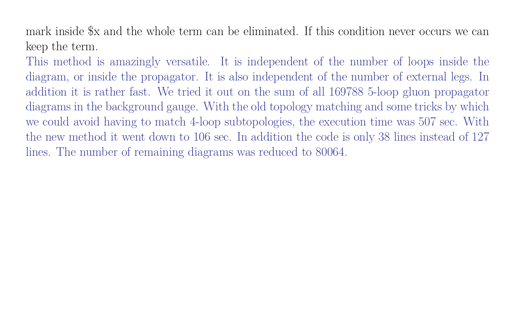mark inside \$x and the whole term can be eliminated. If this condition never occurs we can keep the term.

This method is amazingly versatile. It is independent of the number of loops inside the diagram, or inside the propagator. It is also independent of the number of external legs. In addition it is rather fast. We tried it out on the sum of all 169788 5-loop gluon propagator diagrams in the background gauge. With the old topology matching and some tricks by which we could avoid having to match 4-loop subtopologies, the execution time was 507 sec. With the new method it went down to 106 sec. In addition the code is only 38 lines instead of 127 lines. The number of remaining diagrams was reduced to 80064.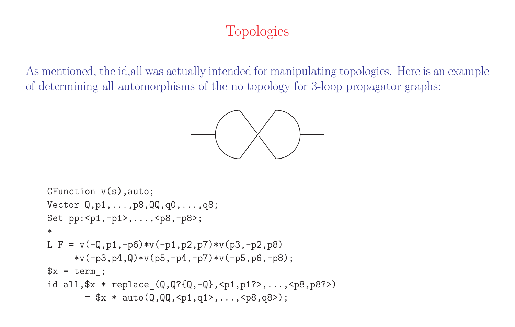# Topologies

As mentioned, the id,all was actually intended for manipulating topologies. Here is an example of determining all automorphisms of the no topology for 3-loop propagator graphs:



```
CFunction v(s),auto;
Vector Q,p1,...,p8,QQ,q0,...,q8;
Set pp:<p1,-p1>,...,<p8,-p8>;
*
L F = v(-Q, p1, -p6) * v(-p1, p2, p7) * v(p3, -p2, p8)*v(-p3,p4,0)*v(p5,-p4,-p7)*v(-p5,p6,-p8);x = term;
id all,$x * replace_(Q,Q?{Q,-Q},<p1,p1?>,...,<p8,p8?>)
        = $x * auto([0, 0, 0, \text{nd}, \text{nd}, \text{nd}, \text{d}, \text{nd}]);
```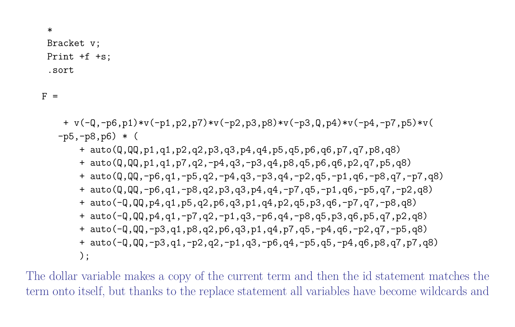Bracket v; Print +f +s; .sort

 $F =$ 

\*

 $+ v(-Q,-p6,p1) * v(-p1,p2,p7) * v(-p2,p3,p8) * v(-p3,Q,p4) * v(-p4,-p7,p5) * v($  $-p5, -p8, p6$   $*$  ( + auto(Q,QQ,p1,q1,p2,q2,p3,q3,p4,q4,p5,q5,p6,q6,p7,q7,p8,q8) + auto(Q,QQ,p1,q1,p7,q2,-p4,q3,-p3,q4,p8,q5,p6,q6,p2,q7,p5,q8)  $+$  auto( $Q,QQ,-p6,q1,-p5,q2,-p4,q3,-p3,q4,-p2,q5,-p1,q6,-p8,q7,-p7,q8)$  $+$  auto( $Q,QQ,-p6,q1,-p8,q2,p3,q3,p4,q4,-p7,q5,-p1,q6,-p5,q7,-p2,q8)$ + auto(-Q,QQ,p4,q1,p5,q2,p6,q3,p1,q4,p2,q5,p3,q6,-p7,q7,-p8,q8) + auto(-Q,QQ,p4,q1,-p7,q2,-p1,q3,-p6,q4,-p8,q5,p3,q6,p5,q7,p2,q8) + auto(-Q,QQ,-p3,q1,p8,q2,p6,q3,p1,q4,p7,q5,-p4,q6,-p2,q7,-p5,q8)  $+$  auto( $-Q$ , $QQ$ , $-p3$ , $q1$ , $-p2$ , $q2$ , $-p1$ , $q3$ , $-p6$ , $q4$ , $-p5$ , $q5$ , $-p4$ , $q6$ , $p8$ , $q7$ , $p7$ , $q8$ ) );

The dollar variable makes a copy of the current term and then the id statement matches the term onto itself, but thanks to the replace statement all variables have become wildcards and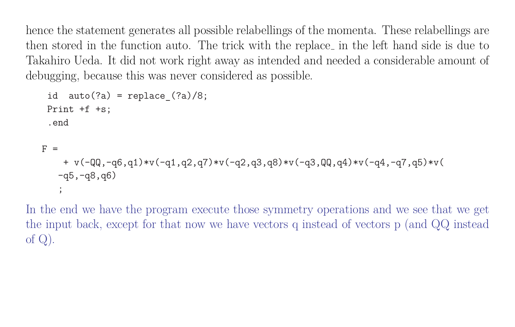hence the statement generates all possible relabellings of the momenta. These relabellings are then stored in the function auto. The trick with the replace in the left hand side is due to Takahiro Ueda. It did not work right away as intended and needed a considerable amount of debugging, because this was never considered as possible.

```
id auto(?a) = replace (?a)/8;Print +f +s;
 .end
F =+ v(-QQ, -q6, q1)*v(-q1, q2, q7)*v(-q2, q3, q8)*v(-q3, QQ, q4)*v(-q4, -q7, q5)*v(-q5,-q8,q6)
   ;
```
In the end we have the program execute those symmetry operations and we see that we get the input back, except for that now we have vectors q instead of vectors p (and QQ instead of  $Q$ ).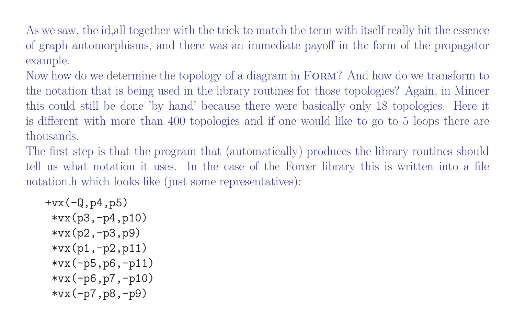As we saw, the id,all together with the trick to match the term with itself really hit the essence of graph automorphisms, and there was an immediate payoff in the form of the propagator example.

Now how do we determine the topology of a diagram in FORM? And how do we transform to the notation that is being used in the library routines for those topologies? Again, in Mincer this could still be done 'by hand' because there were basically only 18 topologies. Here it is different with more than 400 topologies and if one would like to go to 5 loops there are thousands.

The first step is that the program that (automatically) produces the library routines should tell us what notation it uses. In the case of the Forcer library this is written into a file notation.h which looks like (just some representatives):

```
+vx(-Q,p4,p5)*vx(p3,-p4,p10)
 *vx(p2,-p3,p9)
 *vx(p1,-p2,p11)
 *vx(-p5,p6,-p11)*vx(-p6,p7,-p10)
 *vx(-p7,p8,-p9)
```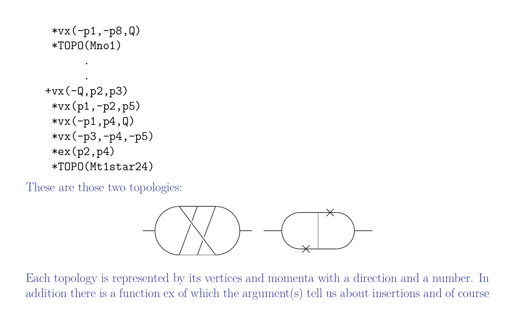```
*vx(-p1,-p8,Q)*TOPO(Mno1)
      .
      .
+vx(-Q,p2,p3)
 *vx(p1,-p2,p5)
 *vx(-p1,p4,Q)*vx(-p3,-p4,-p5)
 *ex(p2,p4)*TOPO(Mt1star24)
```
These are those two topologies:



Each topology is represented by its vertices and momenta with a direction and a number. In addition there is a function ex of which the argument(s) tell us about insertions and of course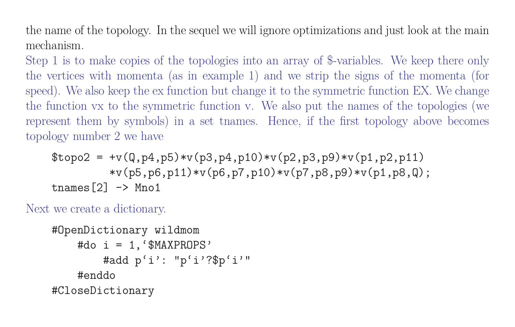the name of the topology. In the sequel we will ignore optimizations and just look at the main mechanism.

Step 1 is to make copies of the topologies into an array of \$-variables. We keep there only the vertices with momenta (as in example 1) and we strip the signs of the momenta (for speed). We also keep the ex function but change it to the symmetric function EX. We change the function vx to the symmetric function v. We also put the names of the topologies (we represent them by symbols) in a set tnames. Hence, if the first topology above becomes topology number 2 we have

```
$topo2 = +v(Q,p4,p5) * v(p3,p4,p10) * v(p2,p3,p9) * v(p1,p2,p11)*v(p5,p6,p11)*v(p6,p7,p10)*v(p7,p8,p9)*v(p1,p8,Q);tnames[2] \rightarrow Mno1
```
Next we create a dictionary.

```
#OpenDictionary wildmom
    #do i = 1, '$MAXPROPS'#add p'i': "p'i'?$p'i'"
    #enddo
#CloseDictionary
```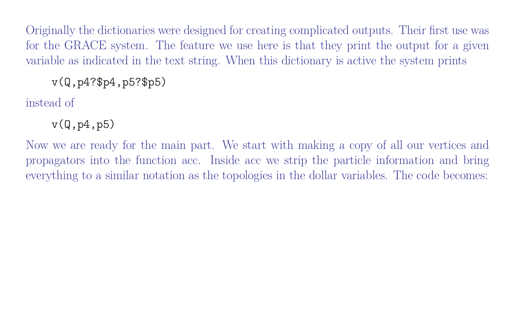Originally the dictionaries were designed for creating complicated outputs. Their first use was for the GRACE system. The feature we use here is that they print the output for a given variable as indicated in the text string. When this dictionary is active the system prints

v(Q,p4?\$p4,p5?\$p5)

instead of

 $v(Q,p4,p5)$ 

Now we are ready for the main part. We start with making a copy of all our vertices and propagators into the function acc. Inside acc we strip the particle information and bring everything to a similar notation as the topologies in the dollar variables. The code becomes: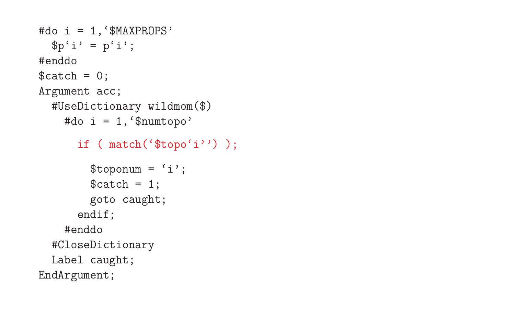```
#do i = 1,'$MAXPROPS'
  $p'i' = p'i';
#enddo
$catch = 0;Argument acc;
  #UseDictionary wildmom($)
    #do i = 1,'$numtopo'
      if ( match('$topo'i'') );
        $toponum = 'i';$catch = 1;goto caught;
      endif;
    #enddo
  #CloseDictionary
  Label caught;
EndArgument;
```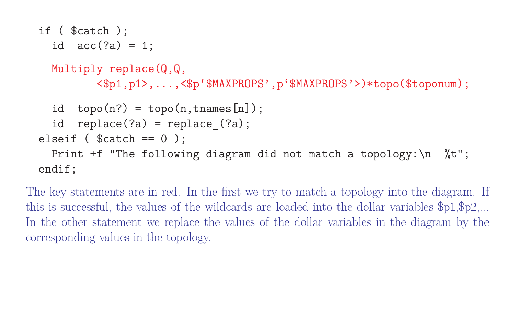```
if ( $catch );
  id acc('2a) = 1;Multiply replace(Q, Q,
         <$p1,p1>,...,<$p'$MAXPROPS',p'$MAXPROPS'>)*topo($toponum);
  id topo(n?) = topo(n,tnames[n]);
  id replace(?a) = replace(?a);
elseif (<math>\$</math> catch == 0 );Print +f "The following diagram did not match a topology: \n %t";
endif;
```
The key statements are in red. In the first we try to match a topology into the diagram. If this is successful, the values of the wildcards are loaded into the dollar variables \$p1,\$p2,... In the other statement we replace the values of the dollar variables in the diagram by the corresponding values in the topology.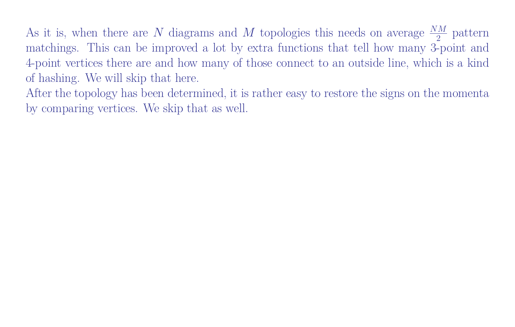As it is, when there are  $N$  diagrams and  $M$  topologies this needs on average  $\frac{NM}{2}$  pattern matchings. This can be improved a lot by extra functions that tell how many 3-point and 4-point vertices there are and how many of those connect to an outside line, which is a kind of hashing. We will skip that here.

After the topology has been determined, it is rather easy to restore the signs on the momenta by comparing vertices. We skip that as well.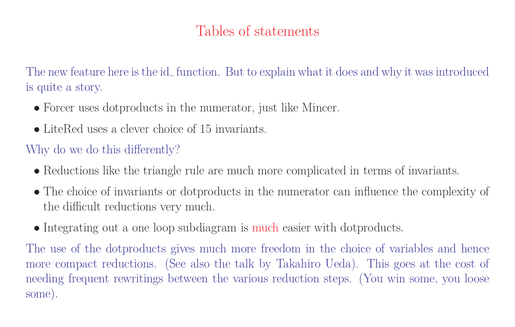## Tables of statements

The new feature here is the id\_function. But to explain what it does and why it was introduced is quite a story.

- Forcer uses dotproducts in the numerator, just like Mincer.
- LiteRed uses a clever choice of 15 invariants.

### Why do we do this differently?

- Reductions like the triangle rule are much more complicated in terms of invariants.
- The choice of invariants or dotproducts in the numerator can influence the complexity of the difficult reductions very much.
- Integrating out a one loop subdiagram is much easier with dotproducts.

The use of the dotproducts gives much more freedom in the choice of variables and hence more compact reductions. (See also the talk by Takahiro Ueda). This goes at the cost of needing frequent rewritings between the various reduction steps. (You win some, you loose some).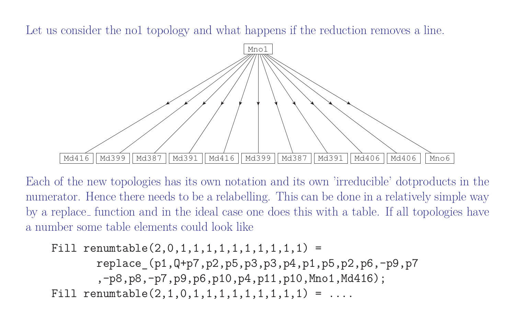Let us consider the no1 topology and what happens if the reduction removes a line.



Each of the new topologies has its own notation and its own 'irreducible' dotproducts in the numerator. Hence there needs to be a relabelling. This can be done in a relatively simple way by a replace function and in the ideal case one does this with a table. If all topologies have a number some table elements could look like

Fill renumtable $(2,0,1,1,1,1,1,1,1,1,1,1)$  = replace\_(p1,Q+p7,p2,p5,p3,p3,p4,p1,p5,p2,p6,-p9,p7 ,-p8,p8,-p7,p9,p6,p10,p4,p11,p10,Mno1,Md416); Fill renumtable $(2,1,0,1,1,1,1,1,1,1,1,1)$  = ....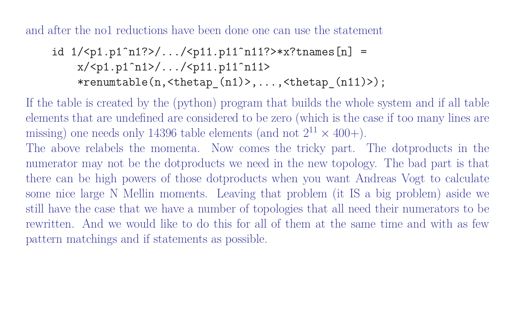and after the no1 reductions have been done one can use the statement

$$
1/
$$
 
$$
1/
$$
 
$$
11n11?>
$$
 
$$
x/ 
$$
11n111
$$
 
$$
11n111
$$
 
$$
11n112
$$
 
$$
11n112
$$
 
$$
11n112
$$
 
$$
11n112
$$
 
$$
11n112
$$
 
$$
11n112
$$
 
$$
11n112
$$
 
$$
11n112
$$
 
$$
11n112
$$
 
$$
11n112
$$
 
$$
11n112
$$
 
$$
11n112
$$
 
$$
11n112
$$
 
$$
11n112
$$
 
$$
11n112
$$
 
$$
11n112
$$
 
$$
11n112
$$
 
$$
11n112
$$
 
$$
11n112
$$
 
$$
11n112
$$
 
$$
11n112
$$
 
$$
11n112
$$
 
$$
11n112
$$
 
$$
11n112
$$
 
$$
11n112
$$
 
$$
11n112
$$
 
$$
11n112
$$
 
$$
11n112
$$
 
$$
11n112
$$
 
$$
11n112
$$
 
$$
11n112
$$
 
$$
11n112
$$
 
$$
11n1
$$
$$

If the table is created by the (python) program that builds the whole system and if all table elements that are undefined are considered to be zero (which is the case if too many lines are missing) one needs only 14396 table elements (and not  $2^{11} \times 400+$ ).

The above relabels the momenta. Now comes the tricky part. The dotproducts in the numerator may not be the dotproducts we need in the new topology. The bad part is that there can be high powers of those dotproducts when you want Andreas Vogt to calculate some nice large N Mellin moments. Leaving that problem (it IS a big problem) aside we still have the case that we have a number of topologies that all need their numerators to be rewritten. And we would like to do this for all of them at the same time and with as few pattern matchings and if statements as possible.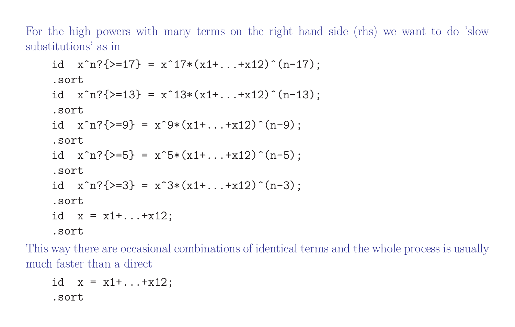For the high powers with many terms on the right hand side (rhs) we want to do 'slow substitutions' as in

```
\n
$$
\text{id } x^n? \{-17\} = x^17*(x1+...+x12)^(n-17);\n \text{sort}\n \text{id } x^n? \{-13\} = x^13*(x1+...+x12)^(n-13);\n \text{sort}\n \text{id } x^n? \{-9\} = x^9*(x1+...+x12)^(n-9);\n \text{sort}\n \text{id } x^n? \{-5\} = x^5*(x1+...+x12)^(n-5);\n \text{sort}\n \text{id } x^n? \{-3\} = x^3*(x1+...+x12)^(n-3);\n \text{sort}\n \text{id } x = x1+...+x12;\n \text{sort}\n
$$

```

This way there are occasional combinations of identical terms and the whole process is usually much faster than a direct

```
id x = x1 + ... + x12;.sort
```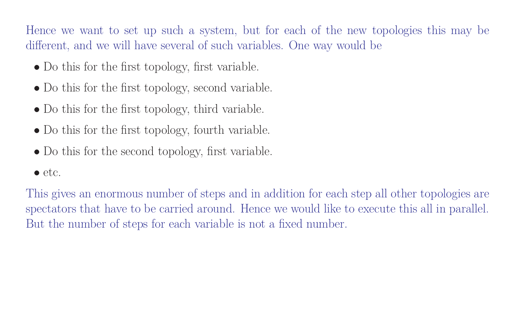Hence we want to set up such a system, but for each of the new topologies this may be different, and we will have several of such variables. One way would be

- Do this for the first topology, first variable.
- Do this for the first topology, second variable.
- Do this for the first topology, third variable.
- Do this for the first topology, fourth variable.
- Do this for the second topology, first variable.
- etc.

This gives an enormous number of steps and in addition for each step all other topologies are spectators that have to be carried around. Hence we would like to execute this all in parallel. But the number of steps for each variable is not a fixed number.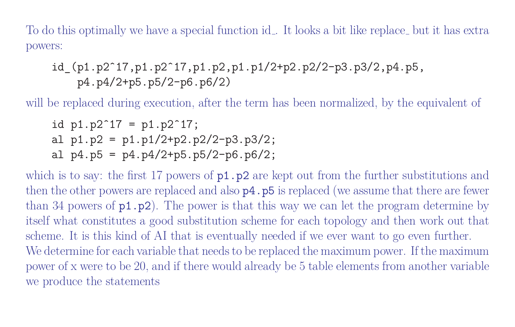To do this optimally we have a special function id... It looks a bit like replace but it has extra powers:

id (p1.p2<sup>o</sup>17,p1.p2<sup>o</sup>17,p1.p2,p1.p1/2+p2.p2/2-p3.p3/2,p4.p5, p4.p4/2+p5.p5/2-p6.p6/2)

will be replaced during execution, after the term has been normalized, by the equivalent of

id  $p1.p2^17 = p1.p2^17;$ al  $p1.p2 = p1.p1/2+p2.p2/2-p3.p3/2$ ; al  $p4.p5 = p4.p4/2+p5.p5/2-p6.p6/2$ ;

which is to say: the first 17 powers of  $p1.p2$  are kept out from the further substitutions and then the other powers are replaced and also  $p4.$  p5 is replaced (we assume that there are fewer than 34 powers of  $p1.p2$ ). The power is that this way we can let the program determine by itself what constitutes a good substitution scheme for each topology and then work out that scheme. It is this kind of AI that is eventually needed if we ever want to go even further. We determine for each variable that needs to be replaced the maximum power. If the maximum power of x were to be 20, and if there would already be 5 table elements from another variable we produce the statements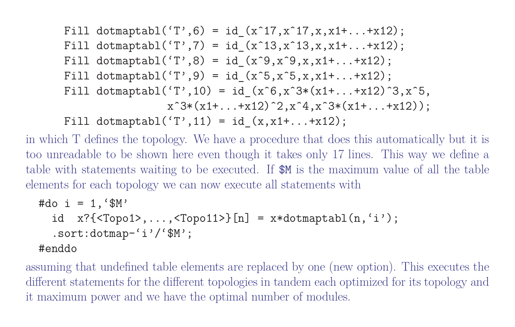Fill dotmaptabl $('T', 6) = id(x^1, x^1, x^1, x^1, x^1, ... + x12);$ Fill dotmaptabl $('T', 7) = id(x^13,x^13,x,x1+...+x12);$ Fill dotmaptabl $('T', 8) = id(x^9, x^9, x, x1+...+x12);$ Fill dotmaptabl $('T', 9) = id(x^5, x^5, x, x1+...+x12);$ Fill dotmaptabl $('T',10) = id_{(x^6, x^3*(x1 + ... + x12)^3, x^5)}$  $x^3*(x1+...+x12)^2, x^4, x^3*(x1+...+x12);$ Fill dotmaptabl $('T', 11) = id_{(x, x1+...+x12)}$ ;

in which T defines the topology. We have a procedure that does this automatically but it is too unreadable to be shown here even though it takes only 17 lines. This way we define a table with statements waiting to be executed. If \$M is the maximum value of all the table elements for each topology we can now execute all statements with

#do i = 1,'\$M' id x?{<Topo1>,...,<Topo11>}[n] = x\*dotmaptabl(n,'i'); .sort:dotmap-'i'/'\$M'; #enddo

assuming that undefined table elements are replaced by one (new option). This executes the different statements for the different topologies in tandem each optimized for its topology and it maximum power and we have the optimal number of modules.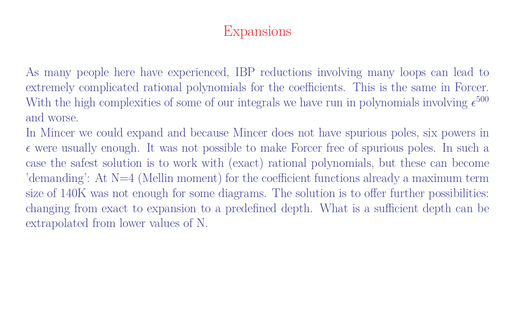## Expansions

As many people here have experienced, IBP reductions involving many loops can lead to extremely complicated rational polynomials for the coefficients. This is the same in Forcer. With the high complexities of some of our integrals we have run in polynomials involving  $\epsilon^{500}$ and worse.

In Mincer we could expand and because Mincer does not have spurious poles, six powers in  $\epsilon$  were usually enough. It was not possible to make Forcer free of spurious poles. In such a case the safest solution is to work with (exact) rational polynomials, but these can become 'demanding': At N=4 (Mellin moment) for the coefficient functions already a maximum term size of 140K was not enough for some diagrams. The solution is to offer further possibilities: changing from exact to expansion to a predefined depth. What is a sufficient depth can be extrapolated from lower values of N.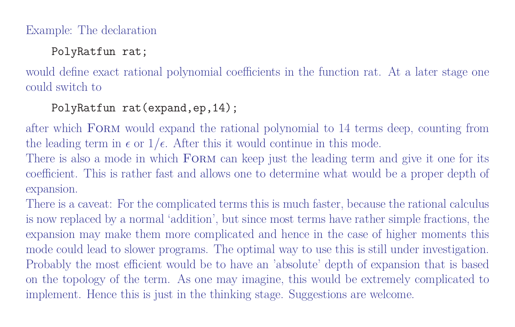#### Example: The declaration

#### PolyRatfun rat;

would define exact rational polynomial coefficients in the function rat. At a later stage one could switch to

#### PolyRatfun rat(expand,ep,14);

after which FORM would expand the rational polynomial to 14 terms deep, counting from the leading term in  $\epsilon$  or  $1/\epsilon$ . After this it would continue in this mode.

There is also a mode in which FORM can keep just the leading term and give it one for its coefficient. This is rather fast and allows one to determine what would be a proper depth of expansion.

There is a caveat: For the complicated terms this is much faster, because the rational calculus is now replaced by a normal 'addition', but since most terms have rather simple fractions, the expansion may make them more complicated and hence in the case of higher moments this mode could lead to slower programs. The optimal way to use this is still under investigation. Probably the most efficient would be to have an 'absolute' depth of expansion that is based on the topology of the term. As one may imagine, this would be extremely complicated to implement. Hence this is just in the thinking stage. Suggestions are welcome.